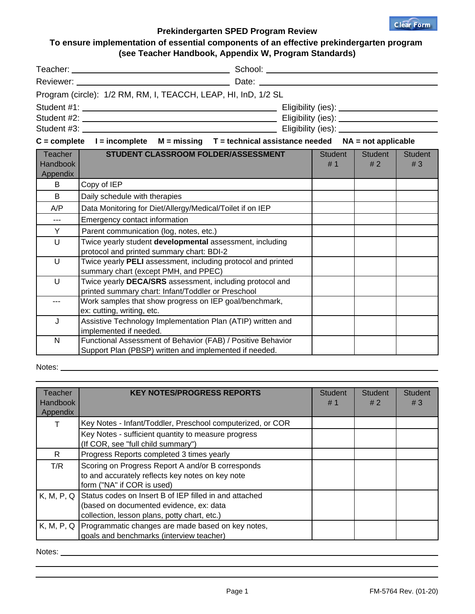

## **Prekindergarten SPED Program Review**

## **To ensure implementation of essential components of an effective prekindergarten program (see Teacher Handbook, Appendix W, Program Standards)**

|                                                                                                       | Program (circle): 1/2 RM, RM, I, TEACCH, LEAP, HI, InD, 1/2 SL                                                        |  |               |               |                      |
|-------------------------------------------------------------------------------------------------------|-----------------------------------------------------------------------------------------------------------------------|--|---------------|---------------|----------------------|
|                                                                                                       |                                                                                                                       |  |               |               |                      |
|                                                                                                       |                                                                                                                       |  |               |               |                      |
|                                                                                                       |                                                                                                                       |  |               |               |                      |
| $C =$ complete $I =$ incomplete $M =$ missing $T =$ technical assistance needed $NA =$ not applicable |                                                                                                                       |  |               |               |                      |
| Teacher<br><b>Handbook</b><br>Appendix                                                                | STUDENT CLASSROOM FOLDER/ASSESSMENT                                                                                   |  | Student<br>#1 | Student<br>#2 | <b>Student</b><br>#3 |
| B                                                                                                     | Copy of IEP                                                                                                           |  |               |               |                      |
| B                                                                                                     | Daily schedule with therapies                                                                                         |  |               |               |                      |
| A/P                                                                                                   | Data Monitoring for Diet/Allergy/Medical/Toilet if on IEP                                                             |  |               |               |                      |
| $\overline{a}$                                                                                        | Emergency contact information                                                                                         |  |               |               |                      |
| Y                                                                                                     | Parent communication (log, notes, etc.)                                                                               |  |               |               |                      |
| $\cup$                                                                                                | Twice yearly student developmental assessment, including<br>protocol and printed summary chart: BDI-2                 |  |               |               |                      |
| U                                                                                                     | Twice yearly PELI assessment, including protocol and printed<br>summary chart (except PMH, and PPEC)                  |  |               |               |                      |
| $\cup$                                                                                                | Twice yearly DECA/SRS assessment, including protocol and<br>printed summary chart: Infant/Toddler or Preschool        |  |               |               |                      |
| ---                                                                                                   | Work samples that show progress on IEP goal/benchmark,<br>ex: cutting, writing, etc.                                  |  |               |               |                      |
| J                                                                                                     | Assistive Technology Implementation Plan (ATIP) written and<br>implemented if needed.                                 |  |               |               |                      |
| $\mathsf{N}$                                                                                          | Functional Assessment of Behavior (FAB) / Positive Behavior<br>Support Plan (PBSP) written and implemented if needed. |  |               |               |                      |

## Notes: when the contract of the contract of the contract of the contract of the contract of the contract of the contract of the contract of the contract of the contract of the contract of the contract of the contract of th

| Teacher<br>Handbook<br>Appendix | <b>KEY NOTES/PROGRESS REPORTS</b>                                                                                                                            | <b>Student</b><br>#1 | <b>Student</b><br>#2 | <b>Student</b><br>#3 |
|---------------------------------|--------------------------------------------------------------------------------------------------------------------------------------------------------------|----------------------|----------------------|----------------------|
|                                 | Key Notes - Infant/Toddler, Preschool computerized, or COR                                                                                                   |                      |                      |                      |
|                                 | Key Notes - sufficient quantity to measure progress<br>(If COR, see "full child summary")                                                                    |                      |                      |                      |
| R.                              | Progress Reports completed 3 times yearly                                                                                                                    |                      |                      |                      |
| T/R                             | Scoring on Progress Report A and/or B corresponds<br>to and accurately reflects key notes on key note<br>form ("NA" if COR is used)                          |                      |                      |                      |
|                                 | K, M, P, Q Status codes on Insert B of IEP filled in and attached<br>(based on documented evidence, ex: data<br>collection, lesson plans, potty chart, etc.) |                      |                      |                      |
|                                 | K, M, P, Q   Programmatic changes are made based on key notes,<br>goals and benchmarks (interview teacher)                                                   |                      |                      |                      |

Notes: \_\_\_\_\_\_\_\_\_\_\_\_\_\_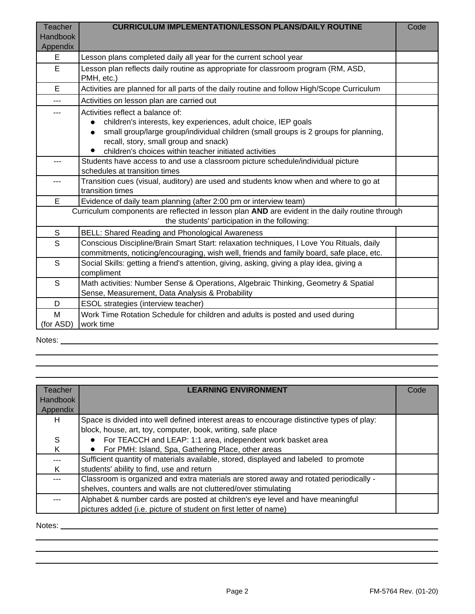| <b>Teacher</b><br><b>Handbook</b><br>Appendix | <b>CURRICULUM IMPLEMENTATION/LESSON PLANS/DAILY ROUTINE</b>                                                                                                                                                                                                                                  | Code |
|-----------------------------------------------|----------------------------------------------------------------------------------------------------------------------------------------------------------------------------------------------------------------------------------------------------------------------------------------------|------|
| E.                                            | Lesson plans completed daily all year for the current school year                                                                                                                                                                                                                            |      |
| E.                                            | Lesson plan reflects daily routine as appropriate for classroom program (RM, ASD,<br>PMH, etc.)                                                                                                                                                                                              |      |
| E                                             | Activities are planned for all parts of the daily routine and follow High/Scope Curriculum                                                                                                                                                                                                   |      |
|                                               | Activities on lesson plan are carried out                                                                                                                                                                                                                                                    |      |
|                                               | Activities reflect a balance of:<br>children's interests, key experiences, adult choice, IEP goals<br>small group/large group/individual children (small groups is 2 groups for planning,<br>recall, story, small group and snack)<br>children's choices within teacher initiated activities |      |
|                                               | Students have access to and use a classroom picture schedule/individual picture<br>schedules at transition times                                                                                                                                                                             |      |
|                                               | Transition cues (visual, auditory) are used and students know when and where to go at<br>transition times                                                                                                                                                                                    |      |
| E                                             | Evidence of daily team planning (after 2:00 pm or interview team)                                                                                                                                                                                                                            |      |
|                                               | Curriculum components are reflected in lesson plan AND are evident in the daily routine through<br>the students' participation in the following:                                                                                                                                             |      |
| ${\mathsf S}$                                 | <b>BELL: Shared Reading and Phonological Awareness</b>                                                                                                                                                                                                                                       |      |
| S                                             | Conscious Discipline/Brain Smart Start: relaxation techniques, I Love You Rituals, daily<br>commitments, noticing/encouraging, wish well, friends and family board, safe place, etc.                                                                                                         |      |
| S                                             | Social Skills: getting a friend's attention, giving, asking, giving a play idea, giving a<br>compliment                                                                                                                                                                                      |      |
| S                                             | Math activities: Number Sense & Operations, Algebraic Thinking, Geometry & Spatial<br>Sense, Measurement, Data Analysis & Probability                                                                                                                                                        |      |
| D                                             | ESOL strategies (interview teacher)                                                                                                                                                                                                                                                          |      |
| M<br>(for ASD)                                | Work Time Rotation Schedule for children and adults is posted and used during<br>work time                                                                                                                                                                                                   |      |

Notes:

| Teacher  | <b>LEARNING ENVIRONMENT</b>                                                               | Code |
|----------|-------------------------------------------------------------------------------------------|------|
| Handbook |                                                                                           |      |
| Appendix |                                                                                           |      |
| H.       | Space is divided into well defined interest areas to encourage distinctive types of play: |      |
|          | block, house, art, toy, computer, book, writing, safe place                               |      |
| S        | For TEACCH and LEAP: 1:1 area, independent work basket area                               |      |
| K        | For PMH: Island, Spa, Gathering Place, other areas                                        |      |
|          | Sufficient quantity of materials available, stored, displayed and labeled to promote      |      |
| K        | students' ability to find, use and return                                                 |      |
|          | Classroom is organized and extra materials are stored away and rotated periodically -     |      |
|          | shelves, counters and walls are not cluttered/over stimulating                            |      |
|          | Alphabet & number cards are posted at children's eye level and have meaningful            |      |
|          | pictures added (i.e. picture of student on first letter of name)                          |      |

Notes: